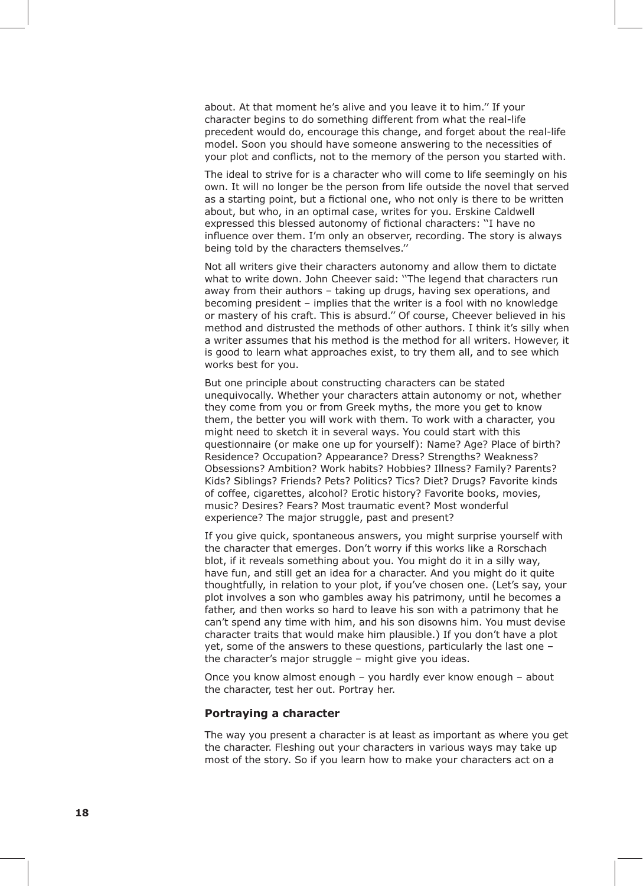# Portraying a character

The way you present a character is at least as important as where you get the character. Fleshing out your characters in various ways may take up most of the story. So if you learn how to make your characters act on <sup>a</sup>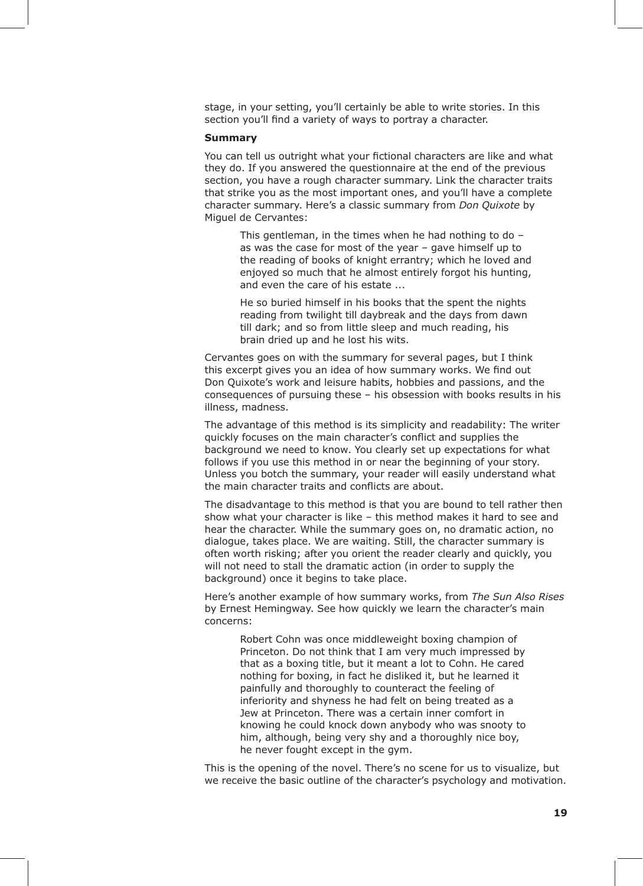stage, in your setting, you'll certainly be able to write stories. In this section you'll find a variety of ways to portray a character.

#### Summary

You can tell us outright what your fictional characters are like and what they do. If you answered the questionnaire at the end of the previous section, you have a rough character summary. Link the character traits that strike you as the most important ones, and you'll have a complete character summary. Here's a classic summary from Don Quixote by Miguel de Cervantes:

> This gentleman, in the times when he had nothing to do – as was the case for most of the year – gave himself up to the reading of books of knight errantry; which he loved and enjoyed so much that he almost entirely forgot his hunting, and even the care of his estate ...

He so buried himself in his books that the spent the nights reading from twilight till daybreak and the days from dawn till dark; and so from little sleep and much reading, his brain dried up and he lost his wits.

Cervantes goes on with the summary for several pages, but <sup>I</sup> think this excerpt gives you an idea of how summary works. We find out Don Quixote's work and leisure habits, hobbies and passions, and the consequences of pursuing these – his obsession with books results in his illness, madness.

The advantage of this method is its simplicity and readability: The writer quickly focuses on the main character's conflict and supplies the background we need to know. You clearly set up expectations for what follows if you use this method in or near the beginning of your story. Unless you botch the summary, your reader will easily understand <sup>w</sup>hat the main character traits and conflicts are about.

The disadvantage to this method is that you are bound to tell rather then show what your character is like – this method makes it hard to see and hear the character. While the summary goes on, no dramatic action, no dialogue, takes place. We are waiting. Still, the character summary is often worth risking; after you orient the reader clearly and quickly, you will not need to stall the dramatic action (in order to supply the background) once it begins to take place.

Here's another example of how summary works, from The Sun Also Rises by Ernest Hemingway. See how quickly we learn the character's main concerns:

Robert Cohn was once middleweight boxing champion of Princeton. Do not think that I am very much impressed by that as a boxing title, but it meant <sup>a</sup> lot to Cohn. He cared nothing for boxing, in fact he disliked it, but he learned it painfully and thoroughly to counteract the feeling of inferiority and shyness he had felt on being treated as <sup>a</sup> Jew at Princeton. There was a certain inner comfort in knowing he could knock down anybody who was snooty to khowing he could khock down anybody who was shooty to<br>him, although, being very shy and a thoroughly nice boy, he never fought except in the gym.

This is the opening of the novel. There's no scene for us to visualize, but we receive the basic outline of the character's psychology and motivation.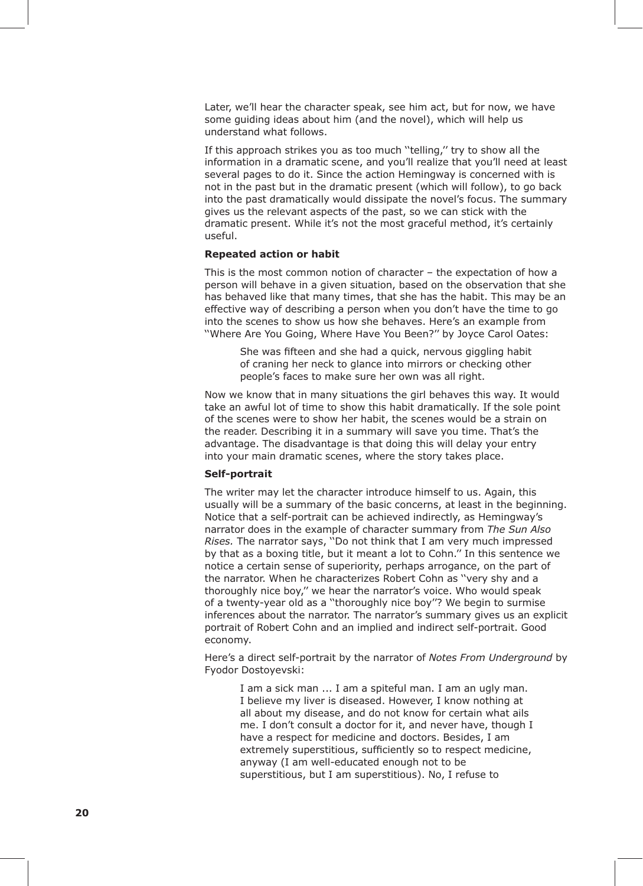Later, we'll hear the character speak, see him act, but for now, we have some guiding ideas about him (and the novel), which will help us understand what follows.

If this approach strikes you as too much ''telling,'' try to show all the information in a dramatic scene, and you'll realize that you'll need at least several pages to do it. Since the action Hemingway is concerned with is not in the past but in the dramatic present (which will follow), to go back into the past dramatically would dissipate the novel's focus. The summary gives us the relevant aspects of the past, so we can stick with the dramatic present. While it's not the most graceful method, it's certainly useful.

### Repeated action or habit

This is the most common notion of character – the expectation of how <sup>a</sup> person will behave in a given situation, based on the observation that she has behaved like that many times, that she has the habit. This may be an effective way of describing a person when you don't have the time to go into the scenes to show us how she behaves. Here's an example from ''Where Are You Going, Where Have You Been?'' by Joyce Carol Oates:

She was fifteen and she had <sup>a</sup> quick, nervous giggling habit of craning her neck to glance into mirrors or checking other people's faces to make sure her own was all right.

Now we know that in many situations the girl behaves this way. It would take an awful lot of time to show this habit dramatically. If the sole point of the scenes were to show her habit, the scenes would be a strain on the reader. Describing it in <sup>a</sup> summary will save you time. That's the advantage. The disadvantage is that doing this will delay your entry into your main dramatic scenes, where the story takes place.

# Self-portrait

The writer may let the character introduce himself to us. Again, this usually will be <sup>a</sup> summary of the basic concerns, at least in the beginning. Notice that <sup>a</sup> self-portrait can be achieved indirectly, as Hemingway's narrator does in the example of character summary from The Sun Also Rises. The narrator says, ''Do not think that I am very much impressed by that as a boxing title, but it meant <sup>a</sup> lot to Cohn.'' In this sentence we notice a certain sense of superiority, perhaps arrogance, on the part of the narrator. When he characterizes Robert Cohn as ''very shy and a thoroughly nice boy,'' we hear the narrator's voice. Who would speak of a twenty-year old as <sup>a</sup> ''thoroughly <sup>n</sup>ice boy''? We begin to surmise inferences about the narrator. The narrator's summary gives us an explicit portrait of Robert Cohn and an implied and indirect self-portrait. Good economy.

Here's a direct self-portrait by the <sup>n</sup>arrator of Notes From Underground by Fyodor Dostoyevski:

I am <sup>a</sup> sick man ... I am <sup>a</sup> spiteful man. I am an ugly man. I believe my liver is diseased. However, I know nothing at all about my disease, and do not know for certain what ails me. I don't consult a doctor for it, and never have, though <sup>I</sup> have a respect for medicine and doctors. Besides, I am extremely superstitious, sufficiently so to respect medicine, anyway (I am well-educated enough not to be superstitious, but I am superstitious). No, I refuse to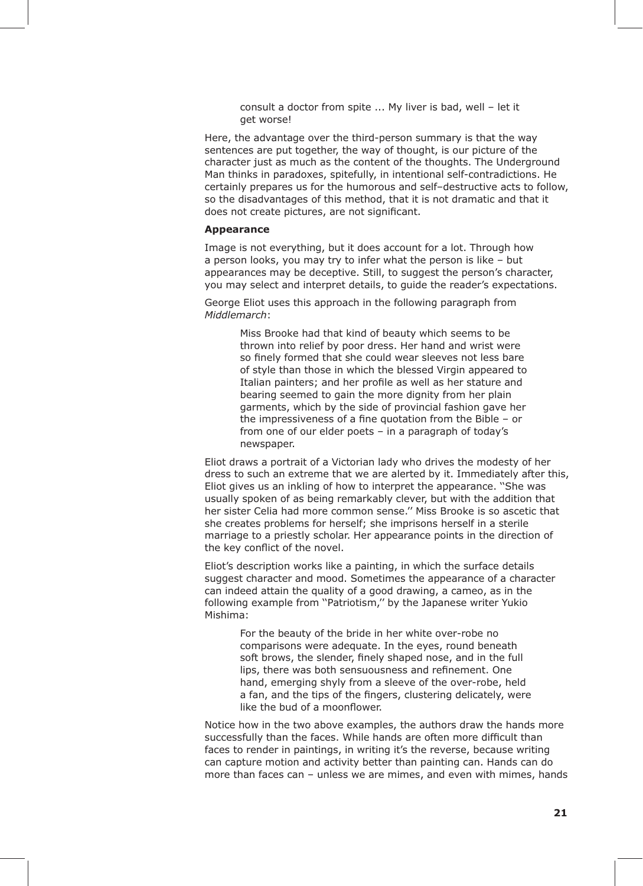consult a doctor from spite ... My liver is bad, well – let it get worse!

Here, the advantage over the third-person summary is that the way sentences are put together, the way of thought, is our picture of the character just as much as the content of the thoughts. The Underground Man thinks in paradoxes, spitefully, in intentional self-contradictions. He certainly prepares us for the humorous and self–destructive acts to follow, so the disadvantages of this method, that it is not dramatic and that it does not create pictures, are not significant.

### Appearance

Image is not everything, but it does account for a lot. Through how person looks, you may try to infer what the person is like – but appearances may be deceptive. Still, to suggest the person's character, you may select and interpret details, to guide the reader's expectations.

George Eliot uses this approach in the following paragraph from Middlemarch:

> Miss Brooke had that kind of beauty which seems to be thrown into relief by poor dress. Her hand and wrist were so finely formed that she could <sup>w</sup>ear sleeves not less bare of style than those in which the blessed Virgin appeared to Italian painters; and her profile as well as her stature and bearing seemed to gain the more dignity from her plain garments, which by the side of provincial fashion gave her the impressiveness of a fine quotation from the Bible – or from one of our elder poets – in <sup>a</sup> paragraph of today's newspaper.

Eliot draws <sup>a</sup> portrait of a Victorian lady who drives the modesty of her dress to such an extreme that we are alerted by it. Immediately after this, Eliot gives us an inkling of how to interpret the appearance. ''She was usually spoken of as being remarkably clever, but with the addition that her sister Celia had more common sense.'' Miss Brooke is so ascetic that she creates problems for herself; she imprisons herself in <sup>a</sup> sterile marriage to <sup>a</sup> priestly scholar. Her appearance points in the direction of the key conflict of the novel.

Eliot's description works like a painting, in which the surface details suggest character and mood. Sometimes the appearance of a character can indeed attain the quality of a good drawing, a cameo, as in the following example from "Patriotism," by the Japanese writer Yukio Mishima:

For the beauty of the bride in her white over-robe no comparisons were adequate. In the eyes, round beneath soft brows, the slender, finely shaped nose, and in the full lips, there was both sensuousness and refinement. One hand, emerging shyly from <sup>a</sup> sleeve of the over-robe, held a fan, and the tips of the fingers, clustering delicately, <sup>w</sup>ere like the bud of a moonflower.

Notice how in the two above examples, the authors draw the hands more successfully than the faces. While hands are often more difficult than faces to render in paintings, in writing it's the reverse, because writing can capture motion and activity better than painting can. Hands can do more than faces can – unless we are mimes, and even with mimes, hands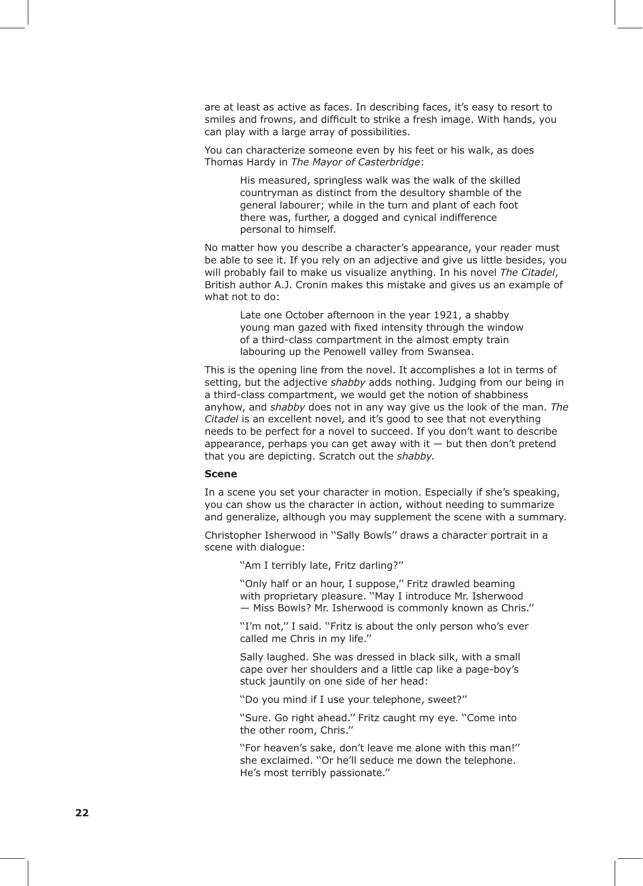are at least as active as faces. In describing faces, it's easy to resort to smiles and frowns, and difficult to strike a fresh image. With hands, you can play with a large array of possibilities.

You can characterize someone even by his feet or his walk, as does Thomas Hardy in The Mayor of Casterbridge:

> His measured, springless walk was the walk of the skilled countryman as distinct from the desultory shamble of the general labourer; while in the turn and plant of each foot there was, further, a dogged and cynical indifference personal to himself.

No matter how you describe a character's appearance, your reader must be able to see it. If you rely on an adjective and give us little besides, you will probably fail to make us visualize anything. In his novel The Citadel, British author A.J. Cronin makes this mistake and gives us an example of what not to do:

Late one October afternoon in the year 1921, a shabby young man gazed with fixed intensity through the window of a third-class compartment in the almost empty train labouring up the Penowell valley from Swansea.

This is the opening line from the novel. It accomplishes <sup>a</sup> lot in terms of This is the opening line from the hovel. It accomplishes a lot in terms of<br>setting, but the adjective shabby adds nothing. Judging from our being in a third-class compartment, we would get the notion of shabbiness anyhow, and shabby does not in any way give us the look of the man. The Citadel is an excellent novel, and it's good to see that not everything needs to be perfect for <sup>a</sup> novel to succeed. If you don't want to describe appearance, perhaps you can get away with it  $-$  but then don't pretend that you are depicting. Scratch out the shabby.

# Scene

In <sup>a</sup> scene you set your character in motion. Especially if she's speaking, you can show us the character in action, without needing to summarize and generalize, although you may supplement the scene with a summary.

Christopher Isherwood in ''Sally Bowls'' draws a character portrait in <sup>a</sup> scene with dialogue:

''Am <sup>I</sup> terribly late, Fritz darling?''

''Only half or an hour, I suppose,'' Fritz drawled beaming with proprietary pleasure. ''May I introduce Mr. Isherwood — Miss Bowls? Mr. Isherwood is commonly known as Chris.''

"I'm not," I said. "Fritz is about the only person who's ever called me Chris in my life.''

Sally laughed. She was dressed in black silk, with a small cape over her shoulders and a little cap like a page-boy's stuck jauntily on one side of her head:

''Do you mind if I use your telephone, sweet?''

''Sure. Go right ahead.'' Fritz caught my eye. ''Come into the other room, Chris.''

''For heaven's sake, don't leave me alone with this man!'' she exclaimed. ''Or he'll seduce me down the telephone. He's most terribly passionate.''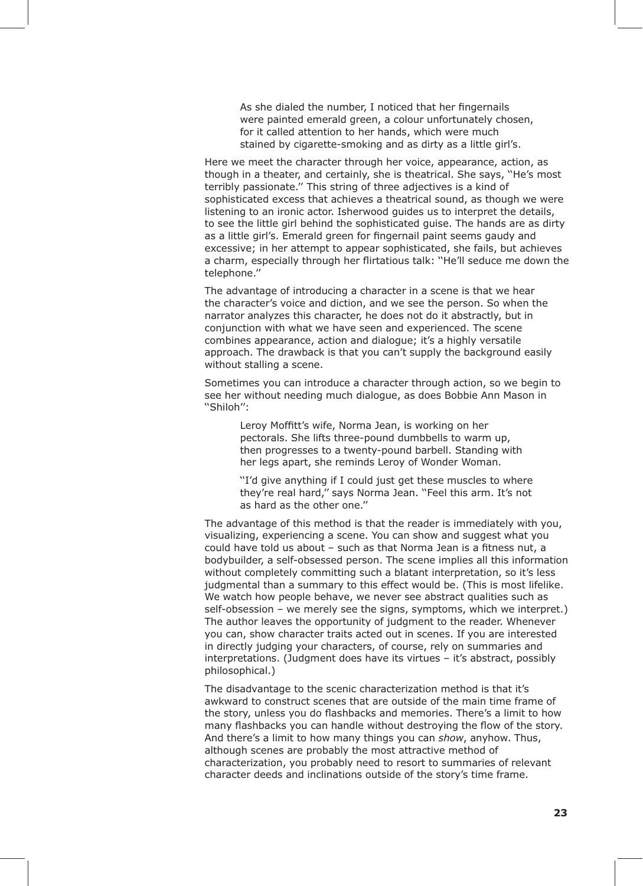As she dialed the number, I noticed that her fingernails were painted emerald green, a colour unfortunately chosen, for it called attention to her hands, which were much stained by cigarette-smoking and as dirty as <sup>a</sup> little girl's.

Here we meet the character through her voice, appearance, action, as though in <sup>a</sup> theater, and certainly, she is theatrical. She says, ''He's most terribly passionate.'' This string of three adjectives is <sup>a</sup> kind of sophisticated excess that achieves <sup>a</sup> theatrical sound, as though we were listening to an ironic actor. Isherwood guides us to interpret the details, to see the little girl behind the sophisticated guise. The hands are as dirty as <sup>a</sup> little girl's. Emerald green for fingernail paint seems gaudy and excessive; in her attempt to appear sophisticated, she fails, but achieves a charm, especially through her flirtatious talk: ''He'll seduce me down the telephone.''

The advantage of introducing a character in <sup>a</sup> scene is that we hear the character's voice and diction, and we see the person. So when the narrator analyzes this character, he does not do it abstractly, but in conjunction with what we have seen and experienced. The scene combines appearance, action and dialogue; it's a highly versatile approach. The drawback is that you can't supply the background easily without stalling a scene.

Sometimes you can introduce a character through action, so we begin to see her without needing much dialogue, as does Bobbie Ann Mason in ''Shiloh'':

Leroy Moffitt's wife, Norma Jean, is working on her pectorals. She lifts three-pound dumbbells to warm up, then progresses to <sup>a</sup> twenty-pound barbell. Standing with her legs apart, she reminds Leroy of Wonder Woman.

"I'd give anything if I could just get these muscles to where they're real hard,'' says Norma Jean. ''Feel this arm. It's not as hard as the other one.''

The advantage of this method is that the reader is immediately with you, visualizing, experiencing a scene. You can show and suggest what you could have told us about – such as that Norma Jean is a fitness nut, a bodybuilder, a self-obsessed person. The scene implies all this information without completely committing such a blatant interpretation, so it's less without completely committing such a blatant interpretation, so it's less<br>judgmental than a summary to this effect would be. (This is most lifelike. We watch how people behave, we never see abstract qualities such as we watch now people behave, we never see abstract qualities such as<br>self-obsession – we merely see the signs, symptoms, which we interpret.) The author leaves the opportunity of judgment to the reader. Whenever you can, show character traits acted out in scenes. If you are interested in directly judging your characters, of course, rely on summaries and interpretations. (Judgment does have its virtues – it's abstract, possibly philosophical.)

The disadvantage to the scenic characterization method is that it's awkward to construct scenes that are outside of the main time frame of the story, unless you do flashbacks and memories. There's <sup>a</sup> limit to how many flashbacks you can handle without destroying the flow of the story. And there's a limit to how many things you can show, anyhow. Thus, although scenes are probably the most attractive method of characterization, you probably need to resort to summaries of relevant character deeds and inclinations outside of the story's time frame.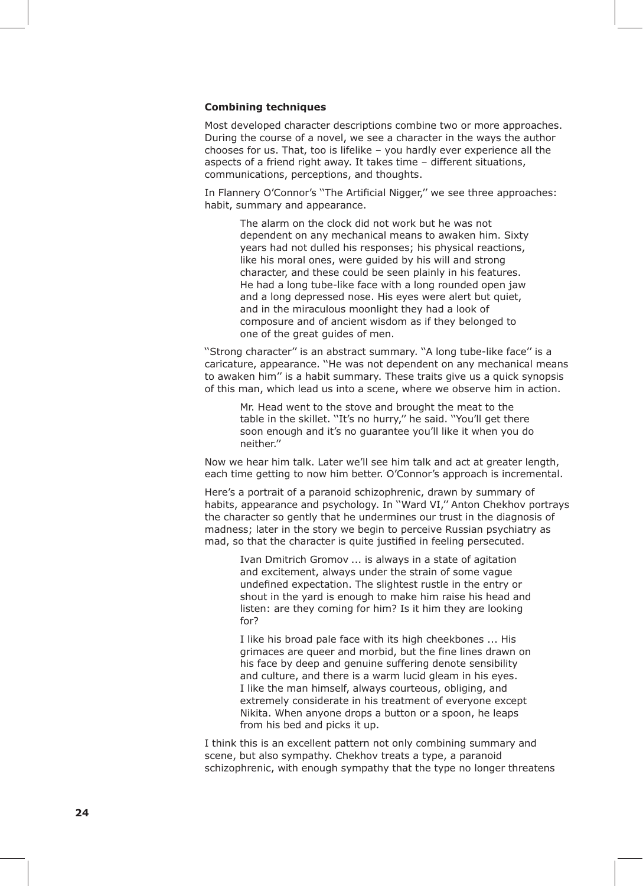### Combining techniques

Most developed character descriptions combine two or more approaches. During the course of a novel, we see a character in the <sup>w</sup>ays the author chooses for us. That, too is lifelike – you hardly ever experience all the aspects of a friend right away. It takes time–different situations, communications, perceptions, and thoughts.

In Flannery O'Connor's ''The Artificial Nigger,'' we see three approaches: habit, summary and appearance.

The alarm on the clock did not work but he was not dependent on any mechanical means to awaken him. Sixty years had not dulled his responses; his physical reactions, like his moral ones, were guided by his will and strong ITHE THIS THOTAI ONES, WELE GUIDED BY THIS WILL AND SCIONG<br>Character, and these could be seen plainly in his features. He had a long tube-like face with a long rounded open jaw and a long depressed nose. His eyes were alert but quiet, and in the miraculous moonlight they had <sup>a</sup> look of composure and of ancient wisdom as if they belonged to one of the great guides of men.

''Strong character'' is an abstract summary. ''A long tube-like face'' is <sup>a</sup> caricature, appearance. ''He was not dependent on any mechanical means to awaken him'' is a habit summary. These traits give us <sup>a</sup> quick synopsis of this man, which lead us into <sup>a</sup> scene, where we observe him in action.

Mr. Head went to the stove and brought the meat to the table in the skillet. "It's no hurry," he said. "You'll get there soon enough and it's no guarantee you'll like it when you do neither.''

Now we hear him talk. Later we'll see him talk and act at greater length, each time getting to now him better. O'Connor's approach is incremental.

Here's <sup>a</sup> portrait of a paranoid schizophrenic, drawn by summary of habits, appearance and psychology. In ''Ward VI,'' Anton Chekhov portrays the character so gently that he undermines our trust in the diagnosis of madness; later in the story we begin to perceive Russian psychiatry as mad, so that the character is quite justified in feeling persecuted.

Ivan Dmitrich Gromov ... is always in <sup>a</sup> state of agitation and excitement, always under the strain of som<sup>e</sup> vague undefined expectation. The slightest rustle in the entry or shout in the yard is enough to make him raise his head and listen: are they coming for him? Is it him they are looking for?

I like his broad pale face with its high cheekbones ... His grimaces are queer and morbid, but the fine lines drawn on his face by deep and genuine suffering denote sensibility Ins face by deep and gendine surfering denote sensibility<br>and culture, and there is a warm lucid gleam in his eyes. I like the man himself, always courteous, obliging, and extremely considerate in his treatment of everyone except Nikita. When anyone drops a button or <sup>a</sup> spoon, he leaps from his bed and picks it up.

I think this is an excellent pattern not only combining summary and scene, but also sympathy. Chekhov treats <sup>a</sup> type, <sup>a</sup> paranoid schizophrenic, with enough sympathy that the type no longer threatens